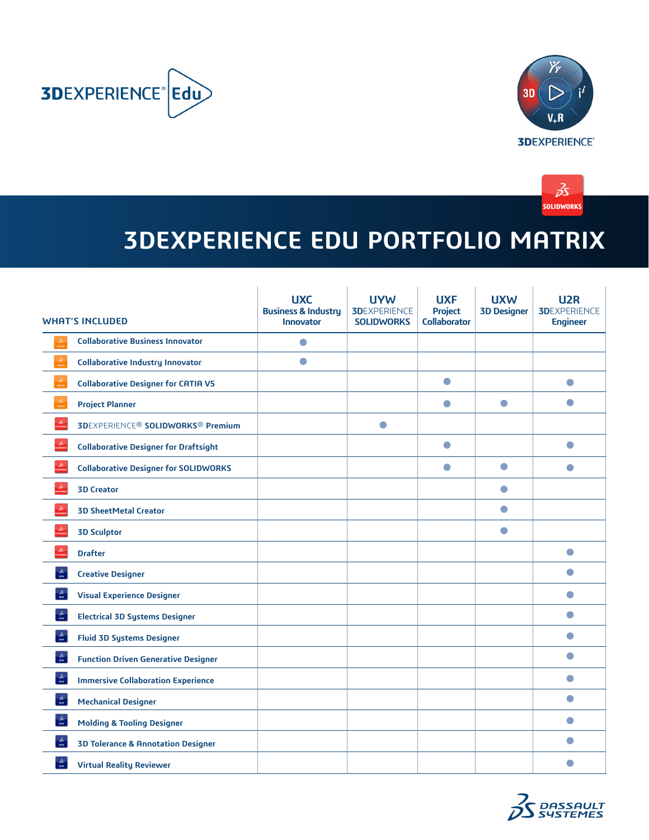





## **3DEXPERIENCE EDU PORTFOLIO MATRIX**

| <b>WHAT'S INCLUDED</b>          |                                                                | <b>UXC</b><br><b>Business &amp; Industry</b><br><b>Innovator</b> | <b>UYW</b><br><b>3DEXPERIENCE</b><br><b>SOLIDWORKS</b> | <b>UXF</b><br><b>Project</b><br><b>Collaborator</b> | <b>UXW</b><br><b>3D Designer</b> | U <sub>2</sub> R<br><b>3DEXPERIENCE</b><br><b>Engineer</b> |
|---------------------------------|----------------------------------------------------------------|------------------------------------------------------------------|--------------------------------------------------------|-----------------------------------------------------|----------------------------------|------------------------------------------------------------|
| $\vec{\mathcal{S}}$             | <b>Collaborative Business Innovator</b>                        | $\bullet$                                                        |                                                        |                                                     |                                  |                                                            |
|                                 | <b>Collaborative Industry Innovator</b>                        | $\bullet$                                                        |                                                        |                                                     |                                  |                                                            |
|                                 | <b>Collaborative Designer for CATIA V5</b>                     |                                                                  |                                                        | $\bullet$                                           |                                  | $\bullet$                                                  |
| $\vec{\rho} \vec{\textbf{s}}$   | <b>Project Planner</b>                                         |                                                                  |                                                        | ●                                                   | $\bullet$                        | $\bullet$                                                  |
| $\vec{\mathcal{S}}$             | <b>3DEXPERIENCE<sup>®</sup> SOLIDWORKS<sup>®</sup> Premium</b> |                                                                  | $\bullet$                                              |                                                     |                                  |                                                            |
| $\vec{\mathcal{S}}$             | <b>Collaborative Designer for Draftsight</b>                   |                                                                  |                                                        | $\bullet$                                           |                                  | $\bullet$                                                  |
| $\vec{\rho} \vec{S}$            | <b>Collaborative Designer for SOLIDWORKS</b>                   |                                                                  |                                                        | $\bullet$                                           | $\bullet$                        | $\bullet$                                                  |
| $\mathcal{Z}$                   | <b>3D Creator</b>                                              |                                                                  |                                                        |                                                     | $\bullet$                        |                                                            |
| $\vec{\delta}$                  | <b>3D SheetMetal Creator</b>                                   |                                                                  |                                                        |                                                     | $\bullet$                        |                                                            |
|                                 | <b>3D Sculptor</b>                                             |                                                                  |                                                        |                                                     | $\bullet$                        |                                                            |
| $\vec{\mathcal{B}}$             | <b>Drafter</b>                                                 |                                                                  |                                                        |                                                     |                                  | $\bullet$                                                  |
| $\frac{2s}{\alpha m}$           | <b>Creative Designer</b>                                       |                                                                  |                                                        |                                                     |                                  | $\bullet$                                                  |
| $\frac{3s}{\cos \theta}$        | <b>Visual Experience Designer</b>                              |                                                                  |                                                        |                                                     |                                  | $\bullet$                                                  |
| $\frac{\partial S}{\partial m}$ | <b>Electrical 3D Systems Designer</b>                          |                                                                  |                                                        |                                                     |                                  | $\bullet$                                                  |
| $\frac{\partial S}{\partial m}$ | <b>Fluid 3D Systems Designer</b>                               |                                                                  |                                                        |                                                     |                                  | $\bullet$                                                  |
| $\frac{\partial S}{\partial m}$ | <b>Function Driven Generative Designer</b>                     |                                                                  |                                                        |                                                     |                                  | $\bullet$                                                  |
| $\frac{\partial S}{\partial m}$ | <b>Immersive Collaboration Experience</b>                      |                                                                  |                                                        |                                                     |                                  | $\bullet$                                                  |
| $\frac{3s}{\cos \theta}$        | <b>Mechanical Designer</b>                                     |                                                                  |                                                        |                                                     |                                  | $\bullet$                                                  |
| $\frac{\lambda}{\sin \theta}$   | <b>Molding &amp; Tooling Designer</b>                          |                                                                  |                                                        |                                                     |                                  | $\bullet$                                                  |
| $\frac{\lambda}{\alpha m}$      | <b>3D Tolerance &amp; Annotation Designer</b>                  |                                                                  |                                                        |                                                     |                                  | $\bullet$                                                  |
| $\frac{\partial S}{\partial m}$ | <b>Virtual Reality Reviewer</b>                                |                                                                  |                                                        |                                                     |                                  |                                                            |